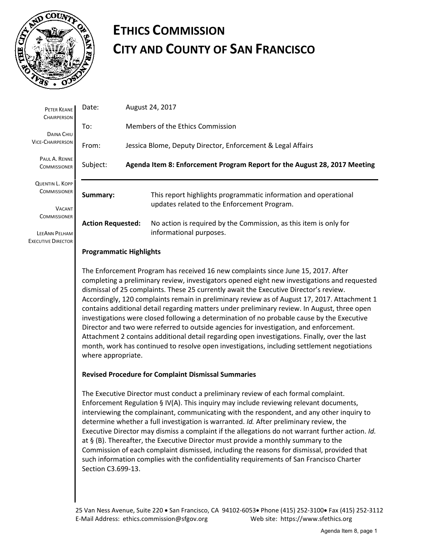

## **ETHICS COMMISSION CITY AND COUNTY OF SAN FRANCISCO**

| PETER KEANE<br><b>CHAIRPERSON</b>                                                                                                   | Date:                                                                                                                                                                                                                                                                                                                                                                                                                                                                                                                                                                                                                                                                                                                                                                                                                                                                                    | August 24, 2017                                             |                                                                                                                |  |  |  |  |
|-------------------------------------------------------------------------------------------------------------------------------------|------------------------------------------------------------------------------------------------------------------------------------------------------------------------------------------------------------------------------------------------------------------------------------------------------------------------------------------------------------------------------------------------------------------------------------------------------------------------------------------------------------------------------------------------------------------------------------------------------------------------------------------------------------------------------------------------------------------------------------------------------------------------------------------------------------------------------------------------------------------------------------------|-------------------------------------------------------------|----------------------------------------------------------------------------------------------------------------|--|--|--|--|
| DAINA CHIU<br><b>VICE-CHAIRPERSON</b>                                                                                               | To:                                                                                                                                                                                                                                                                                                                                                                                                                                                                                                                                                                                                                                                                                                                                                                                                                                                                                      | Members of the Ethics Commission                            |                                                                                                                |  |  |  |  |
|                                                                                                                                     | From:                                                                                                                                                                                                                                                                                                                                                                                                                                                                                                                                                                                                                                                                                                                                                                                                                                                                                    | Jessica Blome, Deputy Director, Enforcement & Legal Affairs |                                                                                                                |  |  |  |  |
| PAUL A. RENNE<br><b>COMMISSIONER</b>                                                                                                | Subject:<br>Agenda Item 8: Enforcement Program Report for the August 28, 2017 Meeting                                                                                                                                                                                                                                                                                                                                                                                                                                                                                                                                                                                                                                                                                                                                                                                                    |                                                             |                                                                                                                |  |  |  |  |
| <b>QUENTIN L. KOPP</b><br><b>COMMISSIONER</b><br><b>VACANT</b><br><b>COMMISSIONER</b><br>LEEANN PELHAM<br><b>EXECUTIVE DIRECTOR</b> | Summary:                                                                                                                                                                                                                                                                                                                                                                                                                                                                                                                                                                                                                                                                                                                                                                                                                                                                                 |                                                             | This report highlights programmatic information and operational<br>updates related to the Enforcement Program. |  |  |  |  |
|                                                                                                                                     | <b>Action Requested:</b>                                                                                                                                                                                                                                                                                                                                                                                                                                                                                                                                                                                                                                                                                                                                                                                                                                                                 |                                                             | No action is required by the Commission, as this item is only for<br>informational purposes.                   |  |  |  |  |
|                                                                                                                                     | <b>Programmatic Highlights</b>                                                                                                                                                                                                                                                                                                                                                                                                                                                                                                                                                                                                                                                                                                                                                                                                                                                           |                                                             |                                                                                                                |  |  |  |  |
|                                                                                                                                     | The Enforcement Program has received 16 new complaints since June 15, 2017. After<br>completing a preliminary review, investigators opened eight new investigations and requested<br>dismissal of 25 complaints. These 25 currently await the Executive Director's review.<br>Accordingly, 120 complaints remain in preliminary review as of August 17, 2017. Attachment 1<br>contains additional detail regarding matters under preliminary review. In August, three open<br>investigations were closed following a determination of no probable cause by the Executive<br>Director and two were referred to outside agencies for investigation, and enforcement.<br>Attachment 2 contains additional detail regarding open investigations. Finally, over the last<br>month, work has continued to resolve open investigations, including settlement negotiations<br>where appropriate. |                                                             |                                                                                                                |  |  |  |  |
|                                                                                                                                     | <b>Revised Procedure for Complaint Dismissal Summaries</b>                                                                                                                                                                                                                                                                                                                                                                                                                                                                                                                                                                                                                                                                                                                                                                                                                               |                                                             |                                                                                                                |  |  |  |  |
|                                                                                                                                     | The Executive Director must conduct a preliminary review of each formal complaint.<br>Enforcement Regulation § IV(A). This inquiry may include reviewing relevant documents,<br>interviewing the complainant, communicating with the respondent, and any other inquiry to<br>determine whether a full investigation is warranted. Id. After preliminary review, the<br>Executive Director may dismiss a complaint if the allegations do not warrant further action. Id.<br>at § (B). Thereafter, the Executive Director must provide a monthly summary to the<br>Commission of each complaint dismissed, including the reasons for dismissal, provided that                                                                                                                                                                                                                              |                                                             |                                                                                                                |  |  |  |  |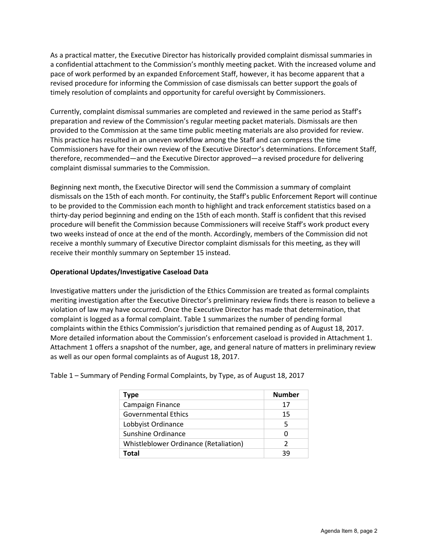As a practical matter, the Executive Director has historically provided complaint dismissal summaries in a confidential attachment to the Commission's monthly meeting packet. With the increased volume and pace of work performed by an expanded Enforcement Staff, however, it has become apparent that a revised procedure for informing the Commission of case dismissals can better support the goals of timely resolution of complaints and opportunity for careful oversight by Commissioners.

Currently, complaint dismissal summaries are completed and reviewed in the same period as Staff's preparation and review of the Commission's regular meeting packet materials. Dismissals are then provided to the Commission at the same time public meeting materials are also provided for review. This practice has resulted in an uneven workflow among the Staff and can compress the time Commissioners have for their own review of the Executive Director's determinations. Enforcement Staff, therefore, recommended—and the Executive Director approved—a revised procedure for delivering complaint dismissal summaries to the Commission.

Beginning next month, the Executive Director will send the Commission a summary of complaint dismissals on the 15th of each month. For continuity, the Staff's public Enforcement Report will continue to be provided to the Commission each month to highlight and track enforcement statistics based on a thirty-day period beginning and ending on the 15th of each month. Staff is confident that this revised procedure will benefit the Commission because Commissioners will receive Staff's work product every two weeks instead of once at the end of the month. Accordingly, members of the Commission did not receive a monthly summary of Executive Director complaint dismissals for this meeting, as they will receive their monthly summary on September 15 instead.

## **Operational Updates/Investigative Caseload Data**

Investigative matters under the jurisdiction of the Ethics Commission are treated as formal complaints meriting investigation after the Executive Director's preliminary review finds there is reason to believe a violation of law may have occurred. Once the Executive Director has made that determination, that complaint is logged as a formal complaint. Table 1 summarizes the number of pending formal complaints within the Ethics Commission's jurisdiction that remained pending as of August 18, 2017. More detailed information about the Commission's enforcement caseload is provided in Attachment 1. Attachment 1 offers a snapshot of the number, age, and general nature of matters in preliminary review as well as our open formal complaints as of August 18, 2017.

| Type                                  | <b>Number</b> |
|---------------------------------------|---------------|
| Campaign Finance                      | 17            |
| <b>Governmental Ethics</b>            | 15            |
| Lobbyist Ordinance                    | 5             |
| Sunshine Ordinance                    |               |
| Whistleblower Ordinance (Retaliation) | 2             |
| Total                                 | 39            |

Table 1 – Summary of Pending Formal Complaints, by Type, as of August 18, 2017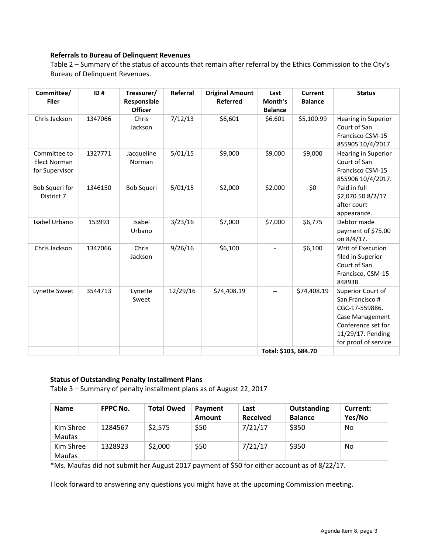## **Referrals to Bureau of Delinquent Revenues**

Table 2 – Summary of the status of accounts that remain after referral by the Ethics Commission to the City's Bureau of Delinquent Revenues.

| Committee/<br><b>Filer</b>                            | ID#     | Treasurer/<br>Responsible<br><b>Officer</b> | Referral | <b>Original Amount</b><br><b>Referred</b> | Last<br>Month's<br><b>Balance</b> | <b>Current</b><br><b>Balance</b> | <b>Status</b>                                                                                                                                 |
|-------------------------------------------------------|---------|---------------------------------------------|----------|-------------------------------------------|-----------------------------------|----------------------------------|-----------------------------------------------------------------------------------------------------------------------------------------------|
| Chris Jackson                                         | 1347066 | Chris<br>Jackson                            | 7/12/13  | \$6,601                                   | \$6,601                           | \$5,100.99                       | Hearing in Superior<br>Court of San<br>Francisco CSM-15<br>855905 10/4/2017.                                                                  |
| Committee to<br><b>Elect Norman</b><br>for Supervisor | 1327771 | Jacqueline<br>Norman                        | 5/01/15  | \$9,000                                   | \$9,000                           | \$9,000                          | <b>Hearing in Superior</b><br>Court of San<br>Francisco CSM-15<br>855906 10/4/2017.                                                           |
| Bob Squeri for<br>District 7                          | 1346150 | <b>Bob Squeri</b>                           | 5/01/15  | \$2,000                                   | \$2,000                           | \$0                              | Paid in full<br>\$2,070.50 8/2/17<br>after court<br>appearance.                                                                               |
| Isabel Urbano                                         | 153993  | Isabel<br>Urbano                            | 3/23/16  | \$7,000                                   | \$7,000                           | \$6,775                          | Debtor made<br>payment of \$75.00<br>on 8/4/17.                                                                                               |
| Chris Jackson                                         | 1347066 | Chris<br>Jackson                            | 9/26/16  | \$6,100                                   |                                   | \$6,100                          | Writ of Execution<br>filed in Superior<br>Court of San<br>Francisco, CSM-15<br>848938.                                                        |
| Lynette Sweet                                         | 3544713 | Lynette<br>Sweet                            | 12/29/16 | \$74,408.19                               | $\overline{\phantom{a}}$          | \$74,408.19                      | Superior Court of<br>San Francisco #<br>CGC-17-559886.<br>Case Management<br>Conference set for<br>11/29/17. Pending<br>for proof of service. |
|                                                       |         |                                             |          |                                           | Total: \$103, 684.70              |                                  |                                                                                                                                               |

## **Status of Outstanding Penalty Installment Plans**

Table 3 – Summary of penalty installment plans as of August 22, 2017

| <b>Name</b>                | <b>FPPC No.</b> | <b>Total Owed</b> | Payment<br>Amount | Last<br><b>Received</b> | Outstanding<br><b>Balance</b> | Current:<br>Yes/No |
|----------------------------|-----------------|-------------------|-------------------|-------------------------|-------------------------------|--------------------|
| Kim Shree<br><b>Maufas</b> | 1284567         | \$2,575           | \$50              | 7/21/17                 | \$350                         | No                 |
| Kim Shree<br>Maufas        | 1328923         | \$2,000           | \$50              | 7/21/17                 | \$350                         | No                 |

\*Ms. Maufas did not submit her August 2017 payment of \$50 for either account as of 8/22/17.

I look forward to answering any questions you might have at the upcoming Commission meeting.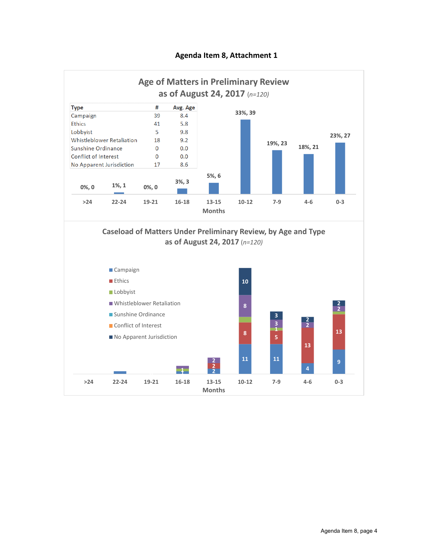